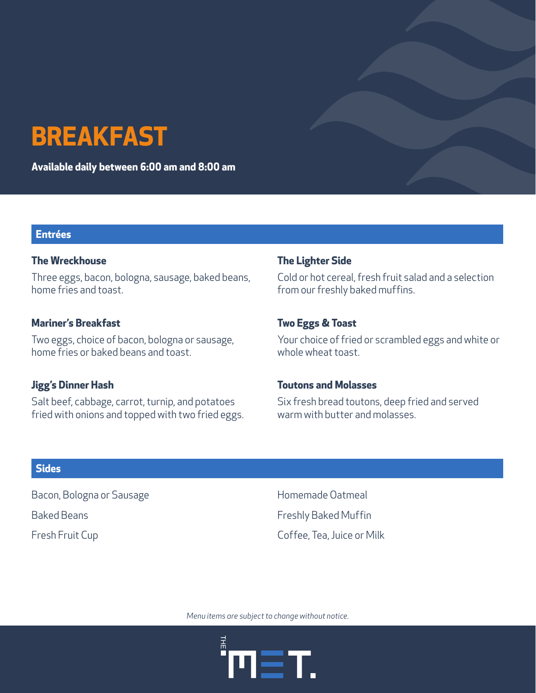# **BREAKFAST**

**Available daily between 6:00 am and 8:00 am**

#### **Entrées**

#### **The Wreckhouse**

Three eggs, bacon, bologna, sausage, baked beans, home fries and toast.

#### **Mariner's Breakfast**

Two eggs, choice of bacon, bologna or sausage, home fries or baked beans and toast.

#### **Jigg's Dinner Hash**

Salt beef, cabbage, carrot, turnip, and potatoes fried with onions and topped with two fried eggs.

#### **The Lighter Side**

Cold or hot cereal, fresh fruit salad and a selection from our freshly baked muffins.

#### **Two Eggs & Toast**

Your choice of fried or scrambled eggs and white or whole wheat toast.

#### **Toutons and Molasses**

Six fresh bread toutons, deep fried and served warm with butter and molasses.

#### **Sides**

Bacon, Bologna or Sausage

Baked Beans

Fresh Fruit Cup

Homemade Oatmeal Freshly Baked Muffin Coffee, Tea, Juice or Milk

*Menu items are subject to change without notice.*

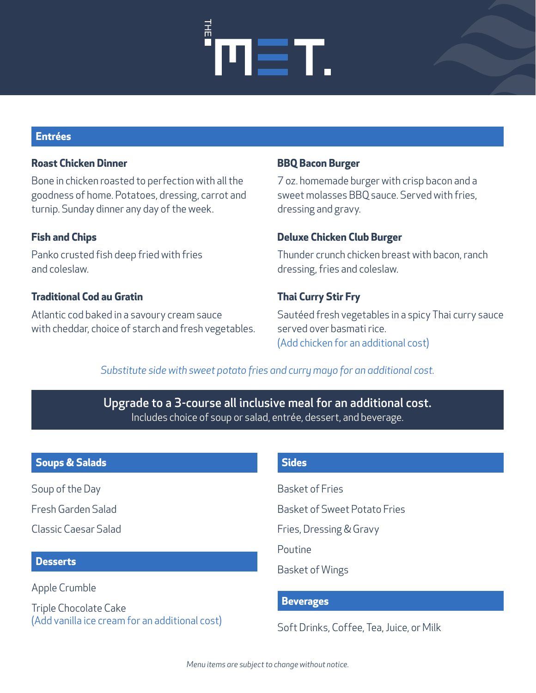# EΤ.

#### **Entrées**

# **Roast Chicken Dinner**

Bone in chicken roasted to perfection with all the goodness of home. Potatoes, dressing, carrot and turnip. Sunday dinner any day of the week.

# **Fish and Chips**

Panko crusted fish deep fried with fries and coleslaw.

# **Traditional Cod au Gratin**

Atlantic cod baked in a savoury cream sauce with cheddar, choice of starch and fresh vegetables.

## **BBQ Bacon Burger**

7 oz. homemade burger with crisp bacon and a sweet molasses BBQ sauce. Served with fries, dressing and gravy.

#### **Deluxe Chicken Club Burger**

Thunder crunch chicken breast with bacon, ranch dressing, fries and coleslaw.

# **Thai Curry Stir Fry**

Sautéed fresh vegetables in a spicy Thai curry sauce served over basmati rice. (Add chicken for an additional cost)

# *Substitute side with sweet potato fries and curry mayo for an additional cost.*

Upgrade to a 3-course all inclusive meal for an additional cost. Includes choice of soup or salad, entrée, dessert, and beverage.

# **Soups & Salads**

Soup of the Day

Fresh Garden Salad

Classic Caesar Salad

## **Desserts**

Apple Crumble

Triple Chocolate Cake (Add vanilla ice cream for an additional cost)

## **Sides**

Basket of Fries

- Basket of Sweet Potato Fries
- Fries, Dressing & Gravy

Poutine

Basket of Wings

## **Beverages**

Soft Drinks, Coffee, Tea, Juice, or Milk